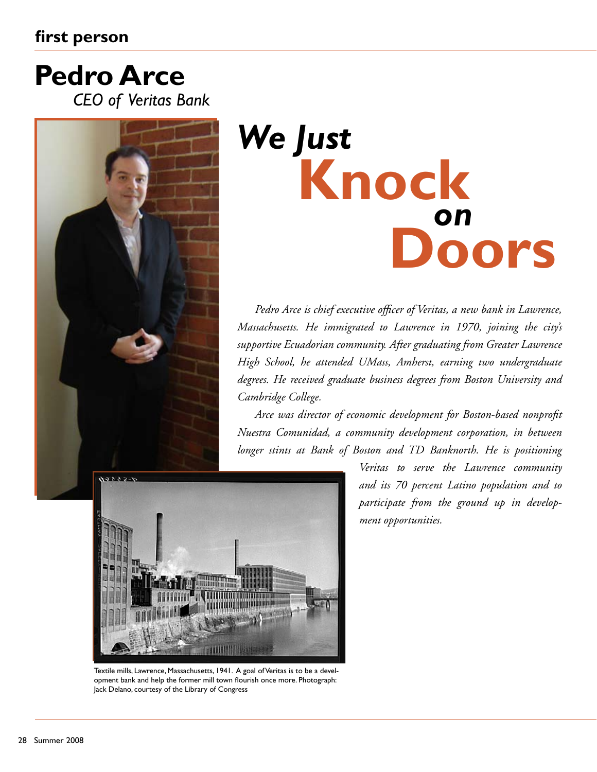# **first person**

# *CEO of Veritas Bank* **Pedro Arce**



# *We Just* **Knock** *on* **Doors**

*Pedro Arce is chief executive officer of Veritas, a new bank in Lawrence, Massachusetts. He immigrated to Lawrence in 1970, joining the city's supportive Ecuadorian community. After graduating from Greater Lawrence High School, he attended UMass, Amherst, earning two undergraduate degrees. He received graduate business degrees from Boston University and Cambridge College.* 

*Arce was director of economic development for Boston-based nonprofit Nuestra Comunidad, a community development corporation, in between longer stints at Bank of Boston and TD Banknorth. He is positioning* 



Textile mills, Lawrence, Massachusetts, 1941. A goal of Veritas is to be a development bank and help the former mill town flourish once more. Photograph: Jack Delano, courtesy of the Library of Congress

*Veritas to serve the Lawrence community and its 70 percent Latino population and to participate from the ground up in development opportunities.*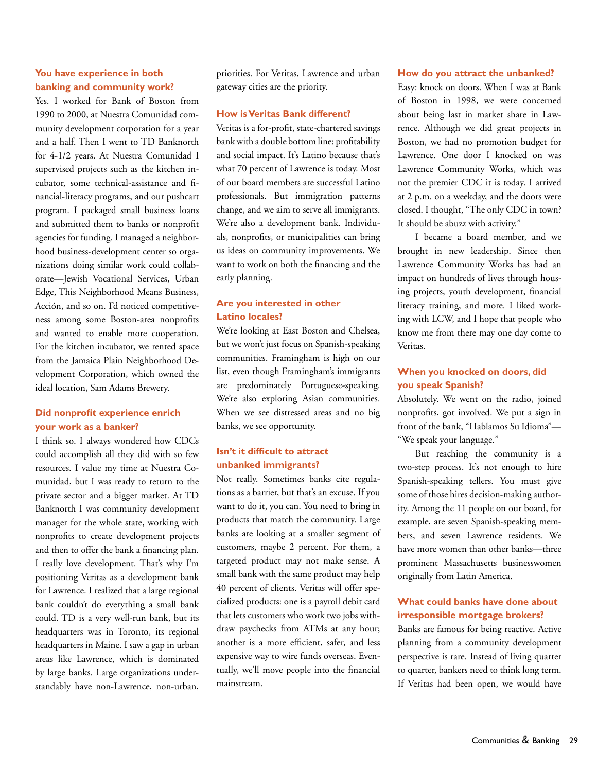# **You have experience in both banking and community work?**

Yes. I worked for Bank of Boston from 1990 to 2000, at Nuestra Comunidad community development corporation for a year and a half. Then I went to TD Banknorth for 4-1/2 years. At Nuestra Comunidad I supervised projects such as the kitchen incubator, some technical-assistance and financial-literacy programs, and our pushcart program. I packaged small business loans and submitted them to banks or nonprofit agencies for funding. I managed a neighborhood business-development center so organizations doing similar work could collaborate—Jewish Vocational Services, Urban Edge, This Neighborhood Means Business, Acción, and so on. I'd noticed competitiveness among some Boston-area nonprofits and wanted to enable more cooperation. For the kitchen incubator, we rented space from the Jamaica Plain Neighborhood Development Corporation, which owned the ideal location, Sam Adams Brewery.

# **Did nonprofit experience enrich your work as a banker?**

I think so. I always wondered how CDCs could accomplish all they did with so few resources. I value my time at Nuestra Comunidad, but I was ready to return to the private sector and a bigger market. At TD Banknorth I was community development manager for the whole state, working with nonprofits to create development projects and then to offer the bank a financing plan. I really love development. That's why I'm positioning Veritas as a development bank for Lawrence. I realized that a large regional bank couldn't do everything a small bank could. TD is a very well-run bank, but its headquarters was in Toronto, its regional headquarters in Maine. I saw a gap in urban areas like Lawrence, which is dominated by large banks. Large organizations understandably have non-Lawrence, non-urban,

priorities. For Veritas, Lawrence and urban gateway cities are the priority.

#### **How is Veritas Bank different?**

Veritas is a for-profit, state-chartered savings bank with a double bottom line: profitability and social impact. It's Latino because that's what 70 percent of Lawrence is today. Most of our board members are successful Latino professionals. But immigration patterns change, and we aim to serve all immigrants. We're also a development bank. Individuals, nonprofits, or municipalities can bring us ideas on community improvements. We want to work on both the financing and the early planning.

## **Are you interested in other Latino locales?**

We're looking at East Boston and Chelsea, but we won't just focus on Spanish-speaking communities. Framingham is high on our list, even though Framingham's immigrants are predominately Portuguese-speaking. We're also exploring Asian communities. When we see distressed areas and no big banks, we see opportunity.

# **Isn't it difficult to attract unbanked immigrants?**

Not really. Sometimes banks cite regulations as a barrier, but that's an excuse. If you want to do it, you can. You need to bring in products that match the community. Large banks are looking at a smaller segment of customers, maybe 2 percent. For them, a targeted product may not make sense. A small bank with the same product may help 40 percent of clients. Veritas will offer specialized products: one is a payroll debit card that lets customers who work two jobs withdraw paychecks from ATMs at any hour; another is a more efficient, safer, and less expensive way to wire funds overseas. Eventually, we'll move people into the financial mainstream.

#### **How do you attract the unbanked?**

Easy: knock on doors. When I was at Bank of Boston in 1998, we were concerned about being last in market share in Lawrence. Although we did great projects in Boston, we had no promotion budget for Lawrence. One door I knocked on was Lawrence Community Works, which was not the premier CDC it is today. I arrived at 2 p.m. on a weekday, and the doors were closed. I thought, "The only CDC in town? It should be abuzz with activity."

I became a board member, and we brought in new leadership. Since then Lawrence Community Works has had an impact on hundreds of lives through housing projects, youth development, financial literacy training, and more. I liked working with LCW, and I hope that people who know me from there may one day come to Veritas.

### **When you knocked on doors, did you speak Spanish?**

Absolutely. We went on the radio, joined nonprofits, got involved. We put a sign in front of the bank, "Hablamos Su Idioma"— "We speak your language."

But reaching the community is a two-step process. It's not enough to hire Spanish-speaking tellers. You must give some of those hires decision-making authority. Among the 11 people on our board, for example, are seven Spanish-speaking members, and seven Lawrence residents. We have more women than other banks—three prominent Massachusetts businesswomen originally from Latin America.

# **What could banks have done about irresponsible mortgage brokers?**

Banks are famous for being reactive. Active planning from a community development perspective is rare. Instead of living quarter to quarter, bankers need to think long term. If Veritas had been open, we would have